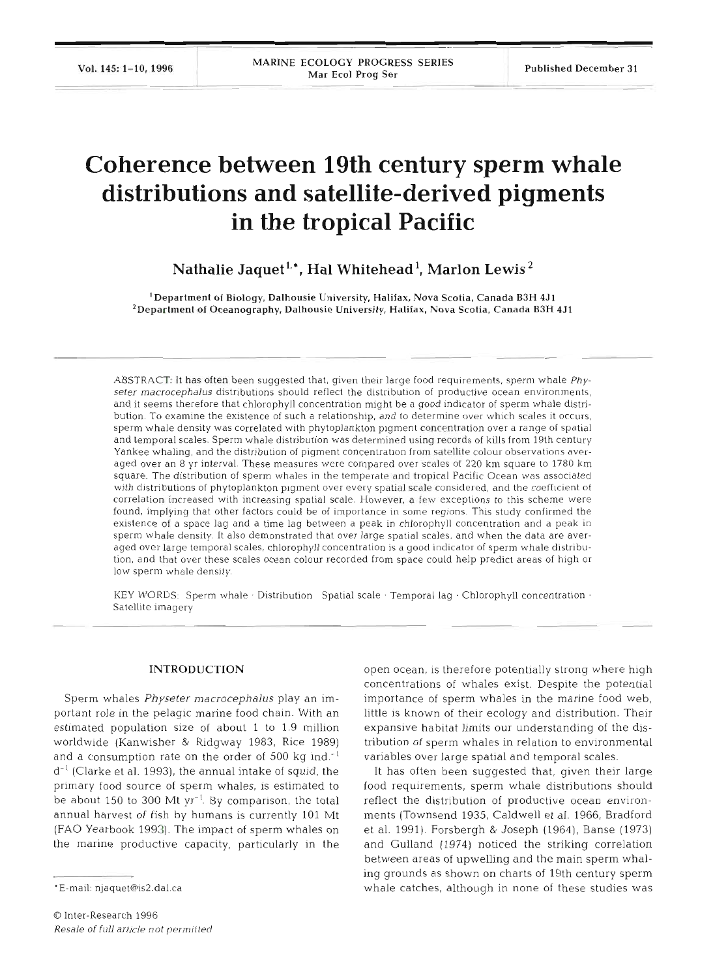# **Coherence between 19th century sperm whale distributions and satellite-derived pigments in the tropical Pacific**

 $N$ athalie Jaquet<sup>1,\*</sup>, Hal Whitehead<sup>1</sup>, Marlon Lewis<sup>2</sup>

Department of Biology, Dalhousie University, Halifax, Nova Scotia, Canada B3H **4J1**  <sup>2</sup> Department of Oceanography, Dalhousie University, Halifax, Nova Scotia, Canada B3H 4J1

ABSTRACT: It has **often** been suggested that, given their large food requirements, sperm whale *Physeter macrocephalus* distributions should reflect the distribution of productive ocean environments, and it seems therefore that chlorophyll concentration might be a good indicator of sperm whale distribution. To examine the existence of such a relationship, and to determine over which scales it occurs, sperm whale density was correlated with phytoplankton pigment concentration over a range of spatial and temporal scales. Sperm whale distribution was determined using records of kills from 19th century Yankee whaling, and the distribution of pigment concentration from satellite colour observations averaged over an 8 yr interval. These measures were compared over scales of 220 km square to 1780 km square. The distribution of sperm whales in the temperate **and** tropical Pacific Ocean was associated with distributions of phytoplankton pigment over every spatial scale considered, and the coefficient of correlation increased with increasing spatial scale. However, a **few** exceptions to this scheme were found, implying that other factors could be of importance in some regions. This study confirmed the existence **of** a space lag and a time lag between a peak in chlorophyll concentration and a peak in sperm whale density. It also demonstrated that over large spatial scales, and when the data are averaged over large temporal scales, chlorophyll concentration is a good indicator of sperm whale distribution, and that over these scales ocean colour recorded from space could help predict areas of high or low sperm whale density.

KEY WORDS: Sperm whale  $\cdot$  Distribution Spatial scale  $\cdot$  Temporal lag  $\cdot$  Chlorophyll concentration  $\cdot$ Satellite imagery

### INTRODUCTION

Sperm whales *Physeter macrocephalus* play an important role in the pelagic marine food chain. With an estimated population size of about 1 to 1.9 million worldwide (Kanwisher & Ridgway 1983, Rice 1989) and a consumption rate on the order of 500 kg ind. $^{-1}$  $d^{-1}$  (Clarke et al. 1993), the annual intake of squid, the primary food source of sperm whales, is estimated to be about 150 to 300 Mt  $yr^{-1}$ . By comparison, the total annual harvest of fish by humans is currently 101 Mt (FA0 Yearbook 1993). The impact of sperm whales on the marine productive capacity, particularly in the

open ocean, is therefore potentially strong where high concentrations of whales exist. Despite the potential importance of sperm whales in the marine food web, little is known of their ecology and distribution. Their expansive habitat limits our understanding of the distribution of sperm whales in relation to environmental variables over large spatial and temporal scales.

It has often been suggested that, given their large food requirements, sperm whale distributions should reflect the distribution of productive ocean environments (Townsend 1935, Caldwell et al. 1966, Bradford et al. 1991). Forsbergh & Joseph (1964), Banse (1973) and Gulland (1974) noticed the striking correlation between areas of upwelling and the main sperm whaling grounds as shown on charts of 19th century sperm whale catches, although in none of these studies was

<sup>&</sup>quot;E-mail: njaquet@is2.dal.ca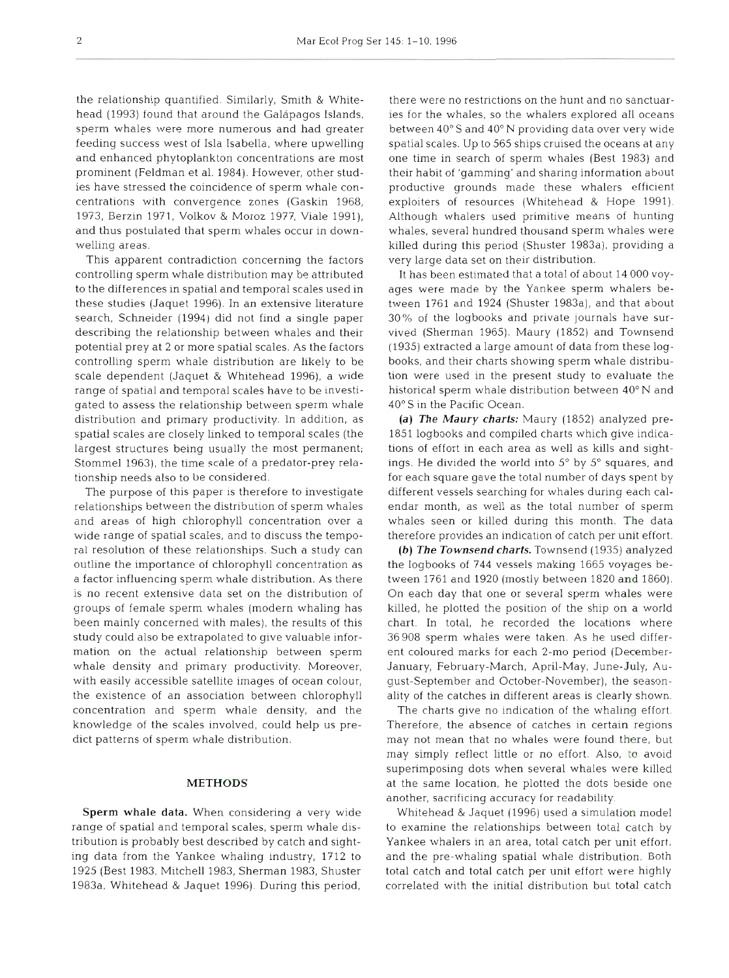the relationship quantified. Similarly, Smith & Whitehead (1993) found that around the Galápagos Islands, sperm whales were more numerous and had greater feeding success west of Isla Isabella, where upwelling and enhanced phytoplankton concentrations are most prominent (Feldman et al. 1984). However, other studies have stressed the coincidence of sperm whale concentrations with convergence zones (Gaskin 1968, 1973, Berzln 1971, Volkov & Moroz 1977, Viale 1991), and thus postulated that sperm whales occur in downwelling areas.

This apparent contradiction concerning the factors controlling sperm whale distribution may be attributed to the differences in spatial and temporal scales used in these studies (Jaquet 1996). In an extensive literature search, Schneider (1994) did not find a single paper describing the relationship between whales and their potential prey at 2 or more spatial scales. As the factors controlling sperm whale distribution are likely to be scale dependent (Jaquet & Whitehead 1996), a wide range of spatial and temporal scales have to be investigated to assess the relationship between sperm whale distribution and primary productivity. In addition, as spatial scales are closely linked to temporal scales (the largest structures being usually the most permanent; Stommel 1963), the time scale of a predator-prey relationship needs also to be considered.

The purpose of this paper is therefore to investigate relationships between the distribution of sperm whales and areas of high chlorophyll concentration over a wide range of spatial scales, and to discuss the temporal resolution of these relationships. Such a study can outline the importance of chlorophyll concentration as a factor influencing sperm whale distribution. As there is no recent extensive data set on the distribution of groups of female sperm whales (modern whaling has been mainly concerned with males), the results of this study could also be extrapolated to give valuable information on the actual relationship between sperm whale density and primary productivity. Moreover, with easily accessible satellite images of ocean colour, the existence of an association between chlorophyll concentration and sperm whale density, and the knowledge of the scales involved, could help us predict patterns of sperm whale distribution.

## **METHODS**

**Sperm whale data.** When considering a very wide range of spatial and temporal scales, sperm whale distribution is probably best described by catch and sighting data from the Yankee whaling industry, 1712 to 1925 (Best 1983, Mitchell 1983, Sherman 1983, Shuster 1983a, Whitehead & Jaquet 1996). During this period,

there were no restrictions on the hunt and no sanctuaries for the whales, so the whalers explored all oceans between 40" S and 40" N providing data over very wide spatial scales. Up to 565 ships cruised the oceans at any one time in search of sperm whales (Best 1983) and their habit of 'gamming' and sharing information about productive grounds made these whalers efficient exploiters of resources (Whitehead & Hope 1991). Although whalers used primitive means of hunting whales, several hundred thousand sperm whales were killed during this period (Shuster 1983a), providing a very large data set on their distribution.

It has been estimated that a total of about 14 000 voyages were made by the Yankee sperm whalers between 1761 and 1924 (Shuster 1983a), and that about 30% of the logbooks and private journals have survived (Sherman 1965). Maury (1852) and Townsend (1935) extracted a large amount of data from these logbooks, and their charts showing sperm whale distribution were used in the present study to evaluate the historical sperm whale distribution between 40" N and 40" S in the Pacific Ocean.

*(a) The Maury charts:* Maury (1852) analyzed pre-1851 logbooks and compiled charts which give indications of effort in each area as well as kills and sightings. He divided the world into 5° by 5° squares, and for each square gave the total number of days spent by different vessels searching for whales during each calendar month, as well as the total number of sperm whales seen or killed during this month. The data therefore provides an indication of catch per unit effort.

*(b) The Townsend charts.* Townsend (1935) analyzed the logbooks of 744 vessels making 1665 voyages between 1761 and 1920 (mostly between 1820 and 1860). On each day that one or several sperm whales were killed, he plotted the position of the ship on a world chart. In total, he recorded the locations where 36908 sperm whales were taken. As he used different coloured marks for each 2-mo period (December-January, February-March, April-May, June-July, August-September and October-November), the seasonality of the catches in different areas is clearly shown.

The charts give no indication of the whaling effort. Therefore, the absence of catches in certain regions may not mean that no whales were found there, but may simply reflect little or no effort. Also, *to* avoid superimposing dots when several whales were killed at the same location, he plotted the dots beside one another, sacrificing accuracy for readability.

Whitehead & Jaquet (1996) used a simulation model to examine the relationships between total catch by Yankee whalers in an area, total catch per unit effort. and the pre-whaling spatial whale distribution. Both total catch and total catch per unit effort were highly correlated with the initial distribution but total catch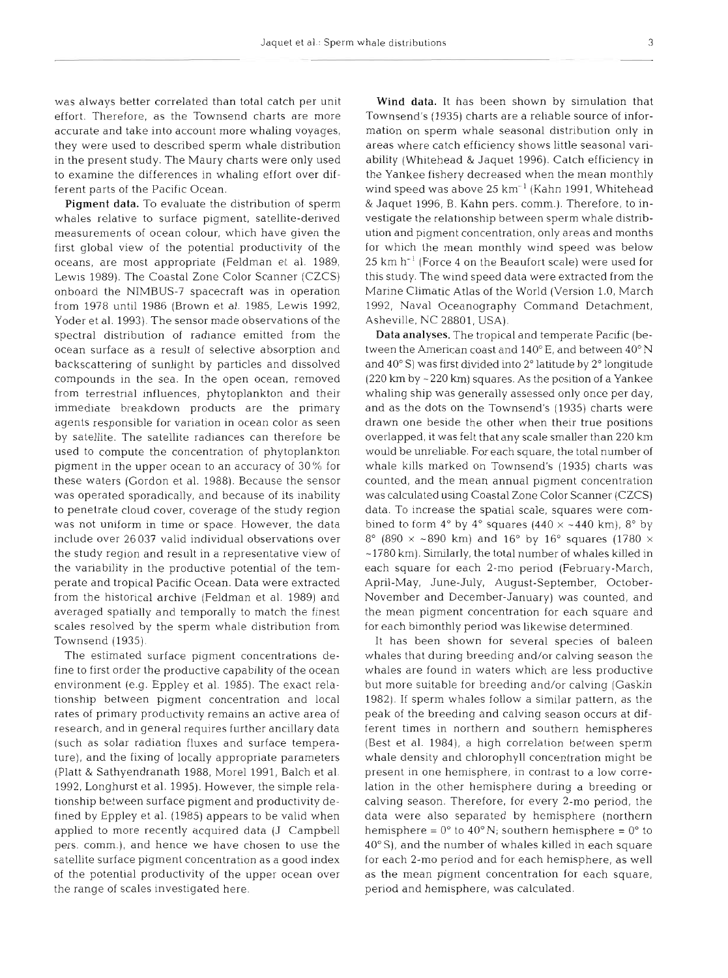was always better correlated than total catch per unit effort. Therefore, as the Townsend charts are more accurate and take into account more whaling voyages, they were used to described sperm whale distribution in the present study. The Maury charts were only used to examine the differences in whaling effort over different parts of the Pacific Ocean.

Pigment data. To evaluate the distribution of sperm whales relative to surface pigment, satellite-derived measurements of ocean colour, which have given the first global view of the potential productivity of the oceans, are most appropriate (Feldman et al. 1989, Lewis 1989). The Coastal Zone Color Scanner (CZCS) onboard the NIMBUS-7 spacecraft was in operation from 1978 until 1986 (Brown et al. 1985, Lewis 1992, Yoder et al. 1993). The sensor made observations of the spectral distribution of radiance emitted from the ocean surface as a result of selective absorption and backscattering of sunlight by particles and dissolved compounds in the sea. In the open ocean, removed from terrestrial influences, phytoplankton and their immediate breakdown products are the primary agents responsible for variation in ocean color as seen by satellite. The satellite radiances can therefore be used to compute the concentration of phytoplankton pigment in the upper ocean to an accuracy of 30% for these waters (Gordon et al. 1988). Because the sensor was operated sporadically, and because of its inability to penetrate cloud cover, coverage of the study region was not uniform in time or space. However, the data include over 26 037 valid individual observations over the study region and result in a representative view of the variability in the productive potential of the temperate and tropical Pacific Ocean. Data were extracted from the historical archive (Feldman et al. 1989) and averaged spatially and temporally to match the finest scales resolved by the sperm whale distribution from Townsend (1935).

The estimated surface pigment concentrations define to first order the productive capability of the ocean environment (e.g. Eppley et al. 1985). The exact relationship between pigment concentration and local rates of primary productivity remains an active area of research, and in general requires further ancillary data (such as solar radiation fluxes and surface temperature), and the fixing of locally appropriate parameters (Platt & Sathyendranath 1988, More1 1991, Balch et al. 1992, Longhurst et al. 1995). However, the simple relationship between surface pigment and productivity defined by Eppley et al. (1985) appears to be valid when applied to more recently acquired data (J Campbell pers. comm.), and hence we have chosen to use the satellite surface pigment concentration as a good index of the potential productivity of the upper ocean over the range of scales investigated here.

Wind data. It has been shown by simulation that Townsend's (1935) charts are a reliable source of information on sperm whale seasonal distribution only in areas where catch efficiency shows little seasonal variability (Whitehead & Jaquet 1996). Catch efficiency in the Yankee fishery decreased when the mean monthly wind speed was above 25 km<sup>-1</sup> (Kahn 1991, Whitehead & Jaquet 1996, B. Kahn pers. comm.). Therefore, to investigate the relationship between sperm whale distribution and pigment concentration, only areas and months for which the mean monthly wind speed was below  $25 \text{ km h}^{-1}$  (Force 4 on the Beaufort scale) were used for this study. The wind speed data were extracted from the Marine Climatic Atlas of the World (Version 1.0, March 1992, Naval Oceanography Command Detachment, Asheville, NC 28801, USA).

Data analyses. The tropical and temperate Pacific (between the American coast and 140" E, and between 40" N and 40" S) was first divided into 2" latitude by 2" longtude  $(220 \text{ km by } -220 \text{ km})$  squares. As the position of a Yankee whaling ship was generally assessed only once per day, and as the dots on the Townsend's (1935) charts were drawn one beside the other when their true positions overlapped, it was felt that any scale smaller than 220 km would be unreliable. For each square, the total number of whale kills marked on Townsend's (1935) charts was counted, and the mean annual pigment concentration was calculated using Coastal Zone Color Scanner (CZCS) data. To increase the spatial scale, squares were combined to form  $4^{\circ}$  by  $4^{\circ}$  squares ( $440 \times -440$  km),  $8^{\circ}$  by 8° (890  $\times$  ~890 km) and 16° by 16° squares (1780  $\times$ -1780 km). Similarly, the total number of whales killed in each square for each 2-mo period (February-March, April-May, June-July, August-September, October-November and December-January) was counted, and the mean pigment concentration for each square and for each bimonthly period was likewise determined.

It has been shown for several species of baleen whales that during breeding and/or calving season the whales are found in waters which are less productive but more suitable for breeding and/or calving (Gaskin 1982). If sperm whales follow a similar pattern, as the peak of the breeding and calving season occurs at different times in northern and southern hemispheres (Best et al. 1984), a high correlation between sperm whale density and chlorophyll concentration might be present in one hemisphere, in contrast to a low correlation in the other hemisphere during a breeding or calving season. Therefore, for every 2-mo period, the data were also separated by hemisphere (northern hemisphere =  $0^{\circ}$  to  $40^{\circ}$  N; southern hemisphere =  $0^{\circ}$  to 40" S), and the number of whales killed in each square for each 2-mo period and for each hemisphere, as well as the mean pigment concentration for each square. period and hemisphere, was calculated.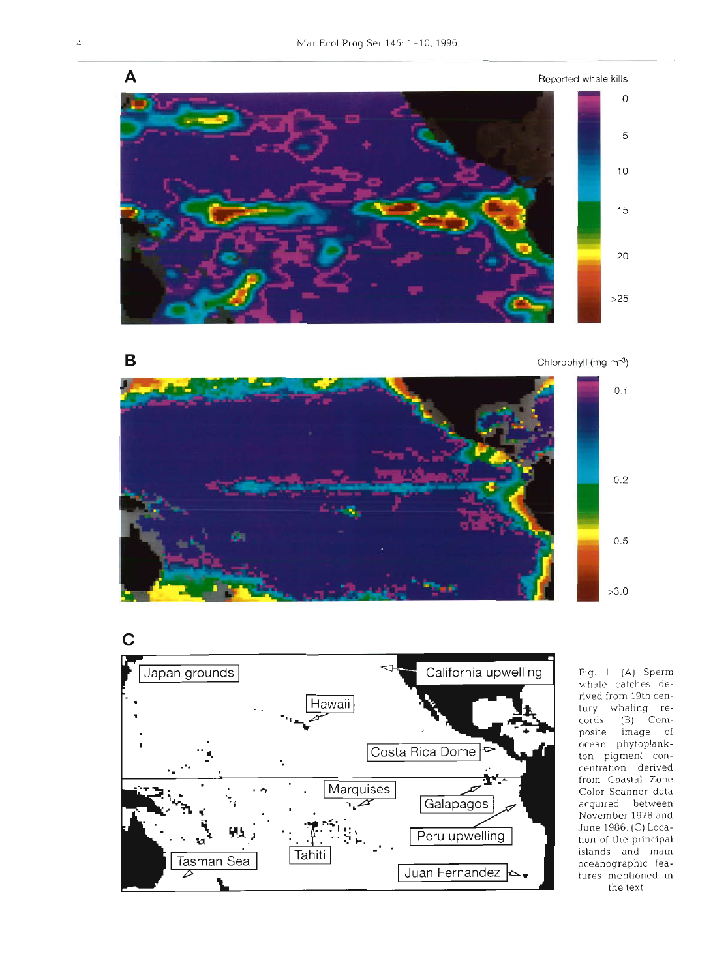

Chlorophyll (mg  $m^{-3}$ )





Fig. 1 (A) Sperm whdle catches derived from 19th century whaling records (B) Composite image of ocean phytoplankton pigment concentration denved from Coastal Zone Color Scanner data acquired between November 1978 and June 1986. (C) Location of the principal islands and main oceanographic fea-Lures mentioned in the text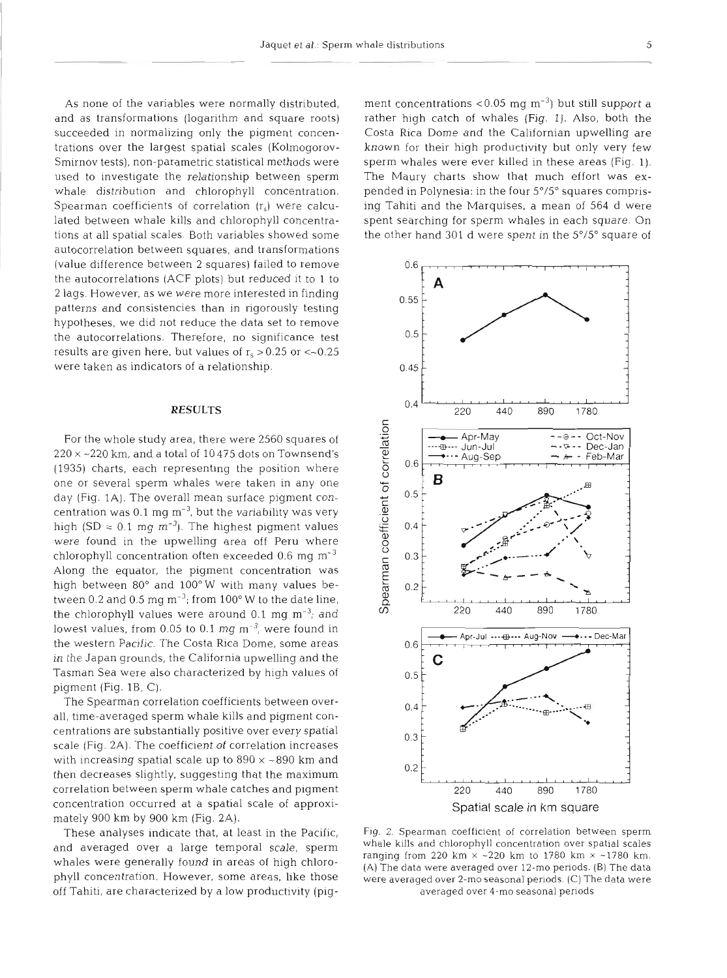As none of the variables were normally distributed, and as transformations (logarithm and square roots) succeeded in normalizing only the pigment concentrations over the largest spatial scales (Kolmogorov-Smirnov tests), non-parametric statistical methods were used to investigate the relationship between sperm whale distribution and chlorophyll concentration. Spearman coefficients of correlation (r,) were calculated between whale kills and chlorophyll concentrations at all spatial scales. Both variables showed some autocorrelation between squares, and transformations (value difference between 2 squares) failed to remove the autocorrelations (ACF plots) but reduced it to 1 to 2 lags. However, as we were more interested in finding patterns and consistencies than in rigorously testing hypotheses, we did not reduce the data set to remove the autocorrelations. Therefore, no significance test results are given here, but values of  $r_s > 0.25$  or  $<-0.25$ were taken as indicators of a relationship.

#### **RESULTS**

For the whole study area, there were 2560 squares of  $220 \times 220$  km, and a total of 10 475 dots on Townsend's (1935) charts, each representing the position where one or several sperm whales were taken in any one day (Fig. 1A). The overall mean surface pigment concentration was 0.1 mg  $m<sup>-3</sup>$ , but the variability was very high (SD =  $0.1 \text{ mg m}^{-3}$ ). The highest pigment values were found in the upwelling area off Peru where chlorophyll concentration often exceeded  $0.6$  mg  $m^{-3}$ Along the equator, the pigment concentration was high between 80° and 100°W with many values between 0.2 and 0.5 mg  $\text{m}^{-3}$ ; from 100° W to the date line, the chlorophyll values were around  $0.1$  mg m<sup>-3</sup>; and lowest values, from 0.05 to 0.1 mg  $\text{m}^{-3}$ , were found in the western Pacific. The Costa Rica Dome, some areas in the Japan grounds, the California upwelling and the Tasman Sea were also characterized by high values of pigment (Fig.  $1B$ , C).

The Spearman correlation coefficients between overall, time-averaged sperm whale kills and pigment concentrations are substantially positive over every spatial scale (Fig. 2A). The coefficient of correlation increases with increasing spatial scale up to  $890 \times -890$  km and then decreases slightly, suggesting that the maximum correlation between sperm whale catches and pigment concentration occurred at a spatial scale of approximately 900 km by 900 km (Fig. 2A).

These analyses indicate that, at least in the Pacific, and averaged over a large temporal scale, sperm whales were generally found in areas of high chlorophyll concentration. However, some areas, like those off Tahiti, are characterized by a low productivity (pigment concentrations <0.05 mg m<sup>-3</sup>) but still support a<br>rather high catch of whales (Fig. 1). Also, both the<br>Costa Rica Dome and the Californian upwelling are<br>known for their high productivity but only very few<br>sperm whal



Fig. 2. Spearman coefficient of correlation between sperm whale kills and chlorophyll concentration over spatial scales ranging from 220 km  $\times$  -220 km to 1780 km  $\times$  -1780 km. (A) The data were averaged over 12-mo peri **(A)** The data were averaged over 12-mo penods. (B) The data were averaged over 2-mo seasonal periods. (C) The data were averaged over 4-mo seasonal periods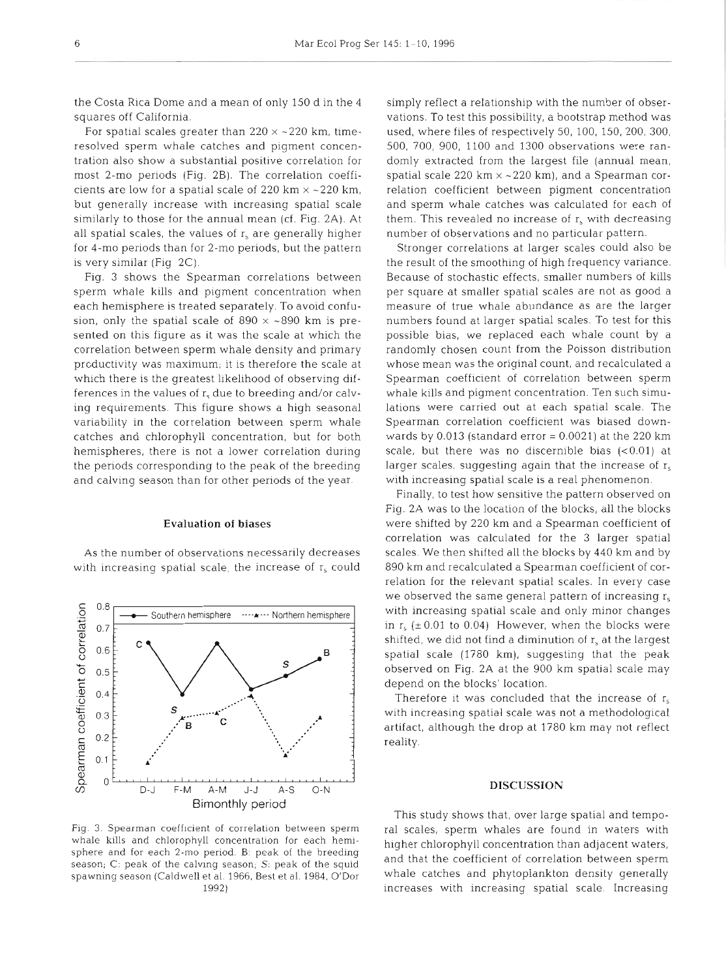the Costa Rica Dome and a mean of only 150 d in the 4 squares off California.

For spatial scales greater than  $220 \times -220$  km, timeresolved sperm whale catches and pigment concentration also show a substantial positive correlation for most 2-mo periods (Fig. 2B). The correlation coefficients are low for a spatial scale of 220 km  $\times$  ~220 km, but generally increase with increasing spatial scale similarly to those for the annual mean (cf. Fig. 2A). At all spatial scales, the values of  $r_s$  are generally higher for 4-mo periods than for 2-mo periods, but the pattern is very similar (Fig 2C).

Fig. 3 shows the Spearman correlations between sperm whale kills and pigment concentration when each hemisphere is treated separately. To avoid confusion, only the spatial scale of  $890 \times \sim 890$  km is presented on this figure as it was the scale at which the correlation between sperm whale density and primary productivity was maximum; it is therefore the scale at which there is the greatest likelihood of observing differences in the values of  $r<sub>s</sub>$  due to breeding and/or calving requirements. This figure shows a high seasonal variability in the correlation between sperm whale catches and chlorophyll concentration, but for both hemispheres, there is not a lower correlation during the periods corresponding to the peak of the breeding and calving season than for other periods of the year.

#### Evaluation of biases

As the number of observations necessarily decreases with increasing spatial scale, the increase of  $r_s$  could



Fig. **3.** Spearman coefficient of correlation between sperm whale kills and chlorophyll concentration for each hemisphere and for each 2-mo period. B: peak of the breeding season;  $C:$  peak of the calving season;  $S:$  peak of the squid spawning season (Caldwell et al. 1966. Best et al. 1984, O'Dor

simply reflect a relationship with the number of observations. To test this possibility, a bootstrap method was used, where files of respectively 50, 100, 150, 200, 300, 500, 700, 900, 1100 and 1300 observations were randomly extracted from the largest file (annual mean, spatial scale 220 km  $\times$  ~220 km), and a Spearman correlation coefficient between pigment concentration and sperm whale catches was calculated for each of them. This revealed no increase of  $r<sub>s</sub>$  with decreasing number of observations and no particular pattern.

Stronger correlations at larger scales could also be the result of the smoothing of high frequency variance. Because of stochastic effects, smaller numbers of kills per square at smaller spatial scales are not as good a measure of true whale abundance as are the larger numbers found at larger spatial scales. To test for this possible bias, we replaced each whale count by a randomly chosen count from the Poisson distribution whose mean was the original count, and recalculated a Spearman coefficient of correlation between sperm whale kills and pigment concentration. Ten such simulations were carried out at each spatial scale. The Spearman correlation coefficient was biased downwards by  $0.013$  (standard error =  $0.0021$ ) at the 220 km scale, but there was no discernible bias  $( $0.01$ )$  at larger scales, suggesting again that the increase of  $r_s$ with increasing spatial scale is a real phenomenon.

Finally, to test how sensitive the pattern observed on Fig. 2A was to the location of the blocks, all the blocks were shifted by 220 km and a Spearman coefficient of correlation was calculated for the 3 larger spatial scales. We then shifted all the blocks by 440 km and by 890 km and recalculated a Spearman coefficient of correlation for the relevant spatial scales. In every case we observed the same general pattern of increasing  $r_s$ with increasing spatial scale and only minor changes in  $r_s$  ( $\pm$  0.01 to 0.04) However, when the blocks were shifted, we did not find a diminution of  $r_s$  at the largest spatial scale (1780 km), suggesting that the peak observed on Fig. 2A at the 900 km spatial scale may depend on the blocks' location.

Therefore it was concluded that the increase of  $r_s$ with increasing spatial scale was not a methodological artifact, although the drop at 1780 km may not reflect reality.

### **DISCUSSION**

This study shows that, over large spatial and temporal scales, sperm whales are found in waters with higher chlorophyll concentration than adjacent waters, and that the coefficient of correlation between sperm whale catches and phytoplankton density generally increases with increasing spatial scale. Increasing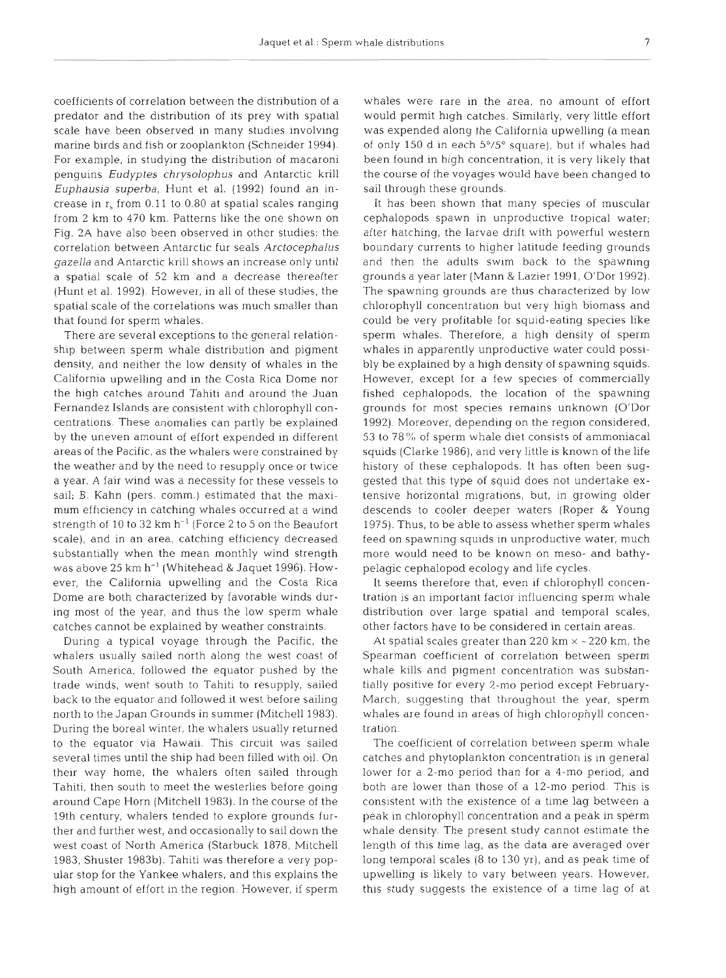coefficients of correlation between the distribution of a predator and the distribution of its prey with spatial scale have been observed in many studies involving marine birds and fish or zooplankton (Schneider 1994). For example, in studying the distribution of macaroni penguins Eudyptes chrysolophus and Antarctic krill Euphausia superba, Hunt et al. (1992) found an increase in r, from 0.11 to 0.80 at spatial scales ranging from 2 km to 470 km. Patterns like the one shown on Fig. 2A have also been observed in other studies: the correlation between Antarctic fur seals Arctocephalus gazella and Antarctic krill shows an increase only until a spatial scale of 52 km and a decrease thereafter (Hunt et al. 1992). However, in all of these studies, the spatial scale of the correlations was much smaller than that found for sperm whales.

There are several exceptions to the general relationship between sperm whale distribution and pigment density, and neither the low density of whales in the California upwelling and in the Costa Rica Dome nor the high catches around Tahiti and around the Juan Fernandez Islands are consistent with chlorophyll concentrations. These anomalies can partly be explained by the uneven amount of effort expended in different areas of the Pacific, as the whalers were constrained by the weather and by the need to resupply once or twice a year. A fair wind was a necessity for these vessels to sail; B. Kahn (pers. comm.) estimated that the maximum efficiency in catching whales occurred at a wind strength of 10 to 32  $km h^{-1}$  (Force 2 to 5 on the Beaufort scale), and in an area, catching efficiency decreased substantially when the mean monthly wind strength was above 25 km h-' (Whitehead & Jaquet 1996). However, the California upwelling and the Costa Rica Dome are both characterized by favorable winds during most of the year, and thus the low sperm whale catches cannot be explained by weather constraints.

During a typical voyage through the Pacific, the whalers usually sailed north along the west coast of South America, followed the equator pushed by the trade winds, went south to Tahiti to resupply, sailed back to the equator and followed it west before sailing north to the Japan Grounds in summer (Mitchell 1983). During the boreal winter, the whalers usually returned to the equator via Hawaii. This circuit was sailed several times until the ship had been filled with oil. On their way home, the whalers often sailed through Tahiti, then south to meet the westerlies before going around Cape Horn (Mitchell 1983). In the course of the 19th century, whalers tended to explore grounds further and further west, and occasionally to sail down the west coast of North America (Starbuck 1878, Mitchell 1983, Shuster 1983b). Tahiti was therefore a very popular stop for the Yankee whalers, and this explains the high amount of effort in the region. However, if sperm whales were rare in the area, no amount of effort would permit high catches. Similarly, very little effort was expended along the California upwelling (a mean of only 150 d in each  $5^{\circ}/5^{\circ}$  square), but if whales had been found in high concentration, it is very likely that the course of the voyages would have been changed to sail through these grounds.

It has been shown that many species of muscular cephalopods spawn in unproductive tropical water; after hatching, the larvae drift with powerful western boundary currents to higher latitude feeding grounds and then the adults swim back to the spawning grounds a year later (Mann & Lazier 1991, O'Dor 1992). The spawning grounds are thus characterized by low chlorophyll concentration but very high biomass and could be very profitable for squid-eating species like sperm whales. Therefore, a high density of sperm whales in apparently unproductive water could possibly be explained by a high density of spawning squids. However, except for a few species of commercially fished cephalopods, the location of the spawning grounds for most species remains unknown (O'Dor 1992). Moreover, depending on the region considered, 53 to 78"% of sperm whale diet consists of ammoniacal squids (Clarke 1986), and very little is known of the life history of these cephalopods. It has often been suggested that this type of squid does not undertake extensive horizontal migrations, but, in growing older descends to cooler deeper waters (Roper & Young 1975). Thus, to be able to assess whether sperm whales feed on spawning squids in unproductive water, much more would need to be known on meso- and bathypelagic cephalopod ecology and life cycles.

It seems therefore that, even if chlorophyll concentration is an important factor influencing sperm whale distribution over large spatial and temporal scales, other factors have to be considered in certain areas.

At spatial scales greater than  $220 \text{ km} \times 220 \text{ km}$ , the Spearman coefficient of correlation between sperm whale kills and pigment concentration was substantially positive for every 2-mo period except February-March, suggesting that throughout the year, sperm whales are found in areas of high chlorophyll concentration.

The coefficient of correlation between sperm whale catches and phytoplankton concentration is in general lower for a 2-mo period than for a 4-mo period, and both are lower than those of a 12-mo period. This is consistent with the existence of a time lag between a peak in chlorophyll concentration and a peak in sperm whale density. The present study cannot estimate the length of this time lag, as the data are averaged over long temporal scales (8 to 130 yr), and as peak time of upwelling is likely to vary between years. However, this study suggests the existence of a time lag of at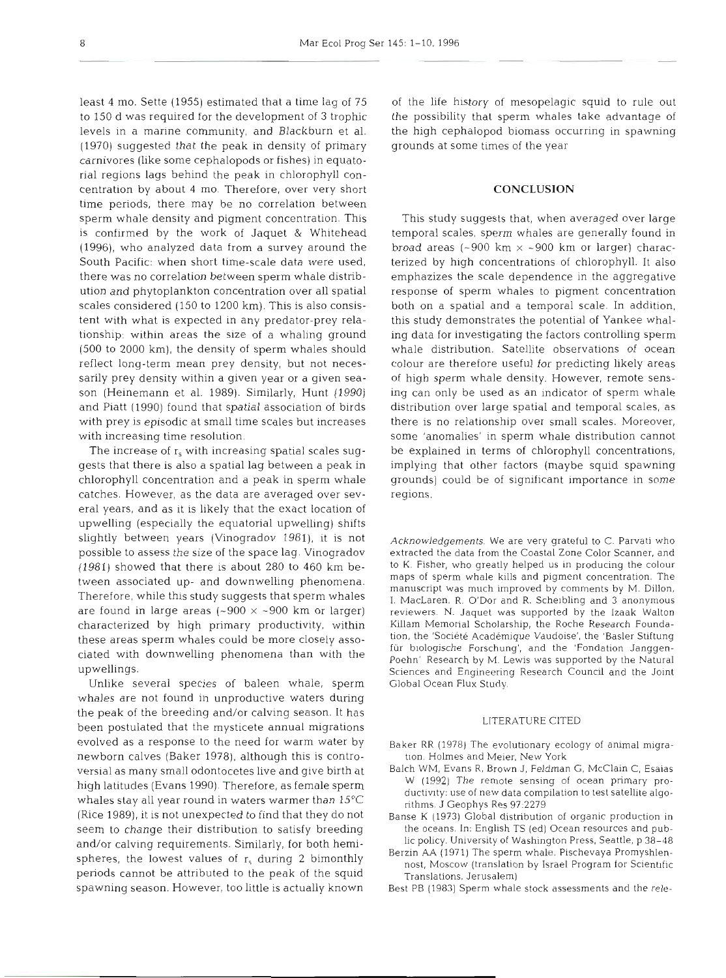least 4 mo. Sette (1955) estimated that a time lag of 75 of the life history of mesopelagic squid to rule out to 150 d was required for the development of **3** trophic the possibility that sperm whales take advantage of levels in a marine community, and Blackburn et al. the high cephalopod biomass occurring in spawning (1970) suggested that the peak in density of primary grounds at some times of the year carnivores (like some cephalopods or fishes) in equatorial regions lags behind the peak in chlorophyll concentration by about **4** mo. Therefore, over very short **CONCLUSION**  time periods, there may be no correlation between sperm whale density and pigment concentration. This This study suggests that, when averaged over large is confirmed by the work of Jaquet & Whitehead temporal scales, sperm whales are generally found in (1996), who analyzed data from a survey around the broad areas (~900 km  $\times$  ~900 km or larger) charac-South Pacific: when short time-scale data were used, terized by high concentrations of chlorophyll. It also there was no correlation between sperm whale distrib- emphazizes the scale dependence in the aggregative ution and phytoplankton concentration over all spatial response of sperm whales to pigment concentration scales considered (150 to 1200 km). This is also consis- both on a spatial and a temporal scale. In addition, tent with what is expected in any predator-prey rela- this study demonstrates the potential of Yankee whaltionship: within areas the size of a whaling ground ing data for investigating the factors controlling sperm (500 to 2000 km), the density of sperm whales should whale distribution. Satellite observations of ocean reflect long-term mean prey density, but not neces- colour are therefore useful for predicting likely areas sarily prey density within a given year or a given sea- of high sperm whale density. However, remote sensson (Heinemann et al. 1989). Similarly, Hunt (1990) ing can only be used as an indicator of sperm whale and Piatt (1990) found that spatial association of birds distribution over large spatial and temporal scales, as with prey is episodic at small time scales but increases there is no relationship over small scales. Moreover, with increasing time resolution.  $\qquad \qquad \qquad$  some 'anomalies' in sperm whale distribution cannot

gests that there is also a spatial lag between a peak in implying that other factors (maybe squid spawning chlorophyll concentration and a peak in sperm whale grounds) could be of significant importance in some catches. However, as the data are averaged over sev- regions. era1 years, and as it is likely that the exact location of upwelling (especially the equatorial upwelling) shifts slightly between years (Vinogradov 1981), it is not *Acknowledgements*. We are very grateful to C. Parvati who possible to assess the size of the space lag. Vinogradov extracted the data from the Coastal Zone Color Scanner, and (1981) showed that there is about 280 to 460 km be- to **K.** Fisher, who greatly helped us in producing the colour tween associated up- and downwelling phenomena.<br>
Therefore, while this study suggests that sperm whales<br>
I. MacLaren, R. O'Dor and R. Scheibling and 3 anonymous<br>
are found in large areas (~900 × ~900 km or larger) reviewe characterized by high primary productivity, within Killam Memorial Scholarship, the Roche Research Founda-<br>these areas sperm whales could be more closely asso- tion, the 'Société Académique Vaudoise', the 'Basler Stiftung these areas sperm whales could be more closely associated with downwelling phenomena than with the forein' Research by M. Lewis was supported by the Natural upwellings.

Unlike several species of baleen whale, sperm Global Ocean Flux Study. whales are not found in unproductive waters during the peak of the breeding and/or calving season. It has been postulated that the mysticete annual migrations evolved as a response to the need for warm water by Baker RR (1978) The evolutionary ecology of animal migranewborn calves (Baker 1978), although this is controversial as many small odontocetes live and give birth at Balch WM, Evans R, Brown J, Feldman G, McClain C, Esaias<br>bigh latitudes (Evans 1990). Therefore, as fomale sperm W. (1992). The remote sensing of ocean primary prohigh latitudes (Evans 1990). Therefore, as female sperm<br>we durivity: use of new data compilation to test satellite algo-<br>whales stay all year round in waters warmer than 15°C<br>rithms. I Geophys Res 97.2279 (Rice 1989), it is not unexpected to find that they do not Banse K (1973) Global distribution of organic production in seem to chanqe their distribution to satisfy breedinq the oceans In: English TS (ed) Ocean resources and pub- and/or calving requirements. Similarly, for both hemi-<br>spheres, the lowest values of  $r_s$  during 2 bimonthly<br>periods cannot be attributed to the peak of the squid<br>ranslations. Jerusalem)<br>Translations. Jerusalem spawning season. However, too little is actually known Best PB (1983) Sperm whale stock assessments and the rele-

The increase of  $r_s$  with increasing spatial scales sug- be explained in terms of chlorophyll concentrations,

reviewers. N. Jaquet was supported by the Izaak Walton m Memorial Scholarship, the Roche Research Founda-<br>the 'Société Académique Vaudoise', the 'Basler Stiftung<br>biologische Forschung', and the 'Fondation Janggen-<br>in' Research by M. Lewis was supported by the Natural<br>nces and

- 
- . Res 97:2279 **<sup>z</sup>**
- 
- 
-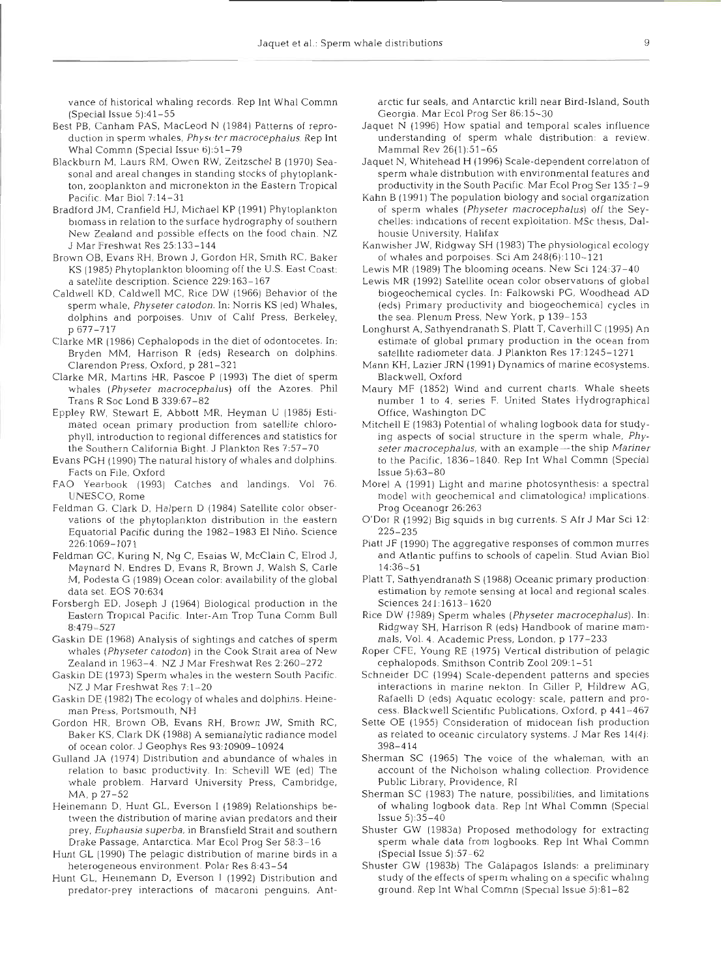vance of historical whaling records. Rep Int Whal Commn (Special lssue 5):4 1-55

- Best PB, Canham PAS, MacLeod N (1984) Patterns of reproduction in sperm whales, *Physcter macrocephalus*. Rep Int Whal Commn (Special Issue 6):51-79
- Blackburn M, Laurs RM, Owen RW, Zeitzschel B (1970) Seasonal and areal changes in standing stocks of phytoplankton, zooplankton and micronekton in the Eastern Tropical Pacific. Mar Biol 7:14-31
- Bradford JM. Cranfield HJ, Michael KP (1991) Phytoplankton biomass in relation to the surface hydrography of southern New Zealand and possible effects on the food chain. NZ J Mar Freshwat Res 25:133-144
- Brown OB, Evans RH, Brown J, Gordon HR. Smith RC, Baker KS (1985) Phytoplankton blooming off the U.S. East Coast: a satellite description. Science 229:163-167
- Caldwell KD, Caldwell MC, Rice DW (1966) Behavior of the sperm whale, Physeter catodon. In: Norris KS (ed) Whales, dolphins and porpoises. Univ of Calif Press, Berkeley. p 677-717
- Clarke MR (1986) Cephalopods in the diet of odontocetes. In: Bryden MM, Harrison R (eds) Research on dolphins. Clarendon Press, Oxford, p 281-321
- Clarke MR. Martins HR, Pascoe P (1993) The diet of sperm whales (Physeter macrocephalus) off the Azores. Phil Trans R Soc Lond B 339:67-82
- Eppley RW, Stewart E, Abbott MR, Heyman U (1985) Estimated ocean primary production from satellite chlorophyll, introduction to regional differences and statistics for the Southern California Bight. J Plankton Res 7:57-70
- Evans PGH (1990) The natural history of whales and dolphins. Facts on File, Oxford
- FAO Yearbook (1993) Catches and landings. Vol 76. UNESCO, Rome
- Feldman G, Clark D, Halpern D (1984) Satellite color observations of the phytoplankton distribution in the eastern Equatorial Pacific during the 1982–1983 El Niño. Science 226:1069-1071
- Feldman GC, Kuring N, Ng C, Esaias W, McClain C, Elrod J, Maynard N, Endres D, Evans R. Brown J, Walsh S, Carle M, Podesta G (1989) Ocean color: availability of the global data set. EOS 70:634
- Forsbergh ED, Joseph J (1964) Biological production in the Eastern Tropical Pacific. Inter-Am Trop Tuna Comm Bull 8:479-527
- Gaskin DE (1968) Analysis of sightings and catches of sperm whales (Physeter catodon) in the Cook Strait area of New Zealand in 1963-4. NZ J Mar Freshwat Res 2:260-272
- Gaskin DE (1973) Sperm whales in the western South Pacific. NZ J Mar Freshwat Res 7:l-20
- Gaskin DE (1982) The ecology of whales and dolphins. Heineman Press, Portsmouth, NH
- Gordon HR. Brown OB, Evans RH, Brown JW. Smith RC, Baker KS, Clark DK (1988) A semianalytic radiance model of ocean color. J Geophys Res 93:10909-10924
- Gulland JA (1974) Distribution and abundance of whales in relation to basic productivity. In. Schevill WE (ed) The whale problem. Harvard University Press, Cambridge, MA, p 27-52
- Heinemann D, Hunt GL. Everson I (1989) Relationships between the distribution of marine avian predators and their prey, Euphausia superba, in Bransfield Strait and southern Drake Passage, Antarctica. Mar Ecol Prog Ser 58:3-16
- Hunt GL (1990) The pelagic distribution of marine birds in a heterogeneous environment. Polar Res 8:43-54
- Hunt GL, Heinemann D, Everson I (1992) Distribution and predator-prey interactions of macaroni penguins, Ant-

- 
- 
- 
- 
- 
- 
- 
- 
- 
- arct fur seals, and Antarctic knill near Bird-Island, South<br>
arctic fur seals, and Antarctic knill and temporal scales influences<br>
Magnet Rissis (1986) How partial and temporal scales influences<br>
Magnet Rissis (1986) Scal
- 
- 
- 
- 
- 
- 
- 
- 
- 
- 
- 
-